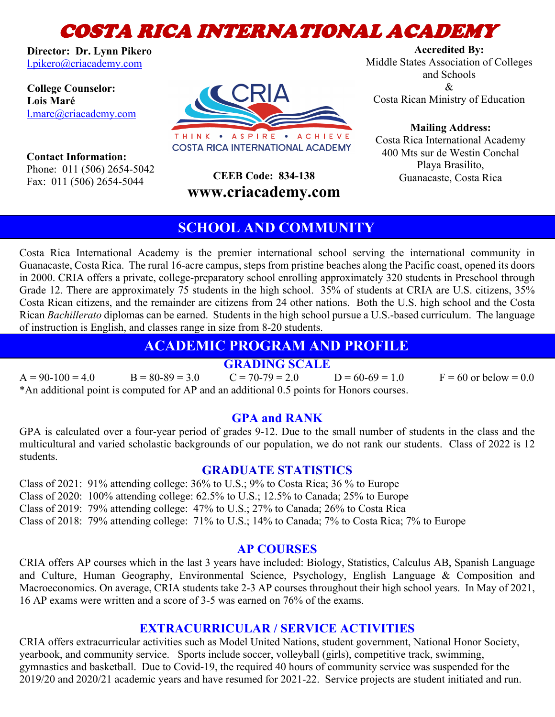# COSTA RICA INTERNATIONAL ACADEMY

**Director: Dr. Lynn Pikero** l.pikero@criacademy.com

**College Counselor: Lois Maré** l.mare@criacademy.com THINK . ASPIRE . ACHIEVE

**COSTA RICA INTERNATIONAL ACADEMY** 

 **Contact Information:** Phone: 011 (506) 2654-5042 Fax: 011 (506) 2654-5044

**www.criacademy.com**

**Accredited By:** Middle States Association of Colleges and Schools  $\mathcal{R}_{\mathcal{L}}$ Costa Rican Ministry of Education

**Mailing Address:**

Costa Rica International Academy 400 Mts sur de Westin Conchal Playa Brasilito, **CEEB Code: 834-138** Guanacaste, Costa Rica

# **SCHOOL AND COMMUNITY**

Costa Rica International Academy is the premier international school serving the international community in Guanacaste, Costa Rica. The rural 16-acre campus, steps from pristine beaches along the Pacific coast, opened its doors in 2000. CRIA offers a private, college-preparatory school enrolling approximately 320 students in Preschool through Grade 12. There are approximately 75 students in the high school. 35% of students at CRIA are U.S. citizens, 35% Costa Rican citizens, and the remainder are citizens from 24 other nations. Both the U.S. high school and the Costa Rican *Bachillerato* diplomas can be earned. Students in the high school pursue a U.S.-based curriculum. The language of instruction is English, and classes range in size from 8-20 students.

# **ACADEMIC PROGRAM AND PROFILE**

# **GRADING SCALE**

 $A = 90-100 = 4.0$  B =  $80-89 = 3.0$  C =  $70-79 = 2.0$  D =  $60-69 = 1.0$  F =  $60$  or below = 0.0 \*An additional point is computed for AP and an additional 0.5 points for Honors courses.

### **GPA and RANK**

GPA is calculated over a four-year period of grades 9-12. Due to the small number of students in the class and the multicultural and varied scholastic backgrounds of our population, we do not rank our students. Class of 2022 is 12 students.

#### **GRADUATE STATISTICS**

Class of 2021: 91% attending college: 36% to U.S.; 9% to Costa Rica; 36 % to Europe

Class of 2020: 100% attending college: 62.5% to U.S.; 12.5% to Canada; 25% to Europe

Class of 2019: 79% attending college: 47% to U.S.; 27% to Canada; 26% to Costa Rica

Class of 2018: 79% attending college: 71% to U.S.; 14% to Canada; 7% to Costa Rica; 7% to Europe

# **AP COURSES**

CRIA offers AP courses which in the last 3 years have included: Biology, Statistics, Calculus AB, Spanish Language and Culture, Human Geography, Environmental Science, Psychology, English Language & Composition and Macroeconomics. On average, CRIA students take 2-3 AP courses throughout their high school years. In May of 2021, 16 AP exams were written and a score of 3-5 was earned on 76% of the exams.

### **EXTRACURRICULAR / SERVICE ACTIVITIES**

CRIA offers extracurricular activities such as Model United Nations, student government, National Honor Society, yearbook, and community service. Sports include soccer, volleyball (girls), competitive track, swimming, gymnastics and basketball. Due to Covid-19, the required 40 hours of community service was suspended for the 2019/20 and 2020/21 academic years and have resumed for 2021-22. Service projects are student initiated and run.